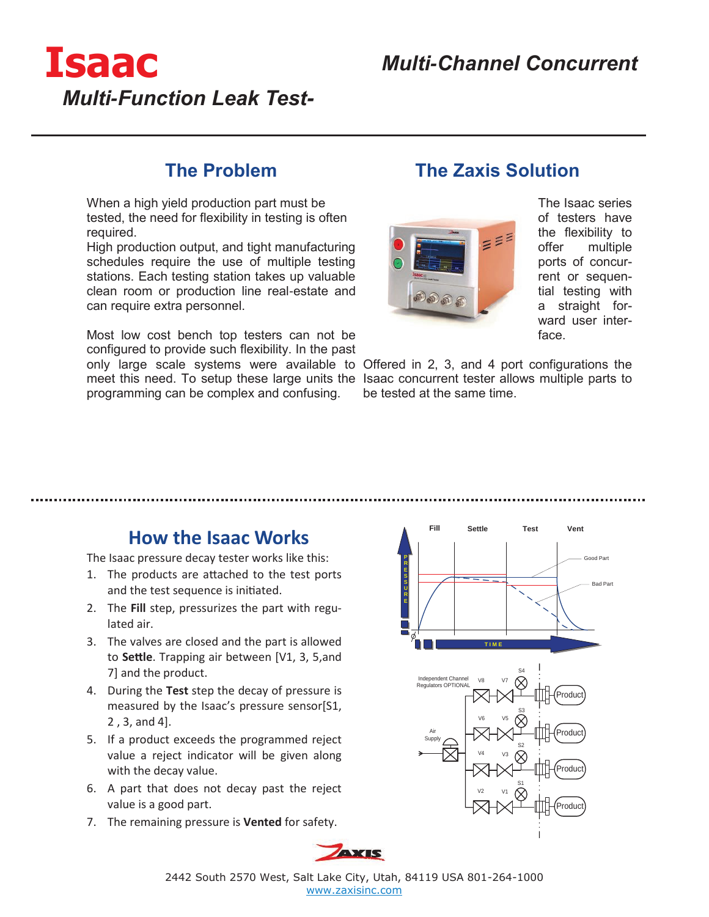

### **The Problem**

When a high yield production part must be tested, the need for flexibility in testing is often required.

High production output, and tight manufacturing schedules require the use of multiple testing stations. Each testing station takes up valuable clean room or production line real-estate and can require extra personnel.

Most low cost bench top testers can not be configured to provide such flexibility. In the past

programming can be complex and confusing.

## **The Zaxis Solution**



The Isaac series of testers have the flexibility to offer multiple ports of concurrent or sequential testing with a straight forward user interface.

only large scale systems were available to Offered in 2, 3, and 4 port configurations the meet this need. To setup these large units the Isaac concurrent tester allows multiple parts to be tested at the same time.

### **How the Isaac Works**

The Isaac pressure decay tester works like this:

- 1. The products are attached to the test ports and the test sequence is initiated.
- 2. The **Fill** step, pressurizes the part with regulated air.
- 3. The valves are closed and the part is allowed to **Settle**. Trapping air between [V1, 3, 5,and 7] and the product.
- 4. During the **Test** step the decay of pressure is measured by the Isaac's pressure sensor[S1, 2 , 3, and 4].
- 5. If a product exceeds the programmed reject value a reject indicator will be given along with the decay value.
- 6. A part that does not decay past the reject value is a good part.
- 7. The remaining pressure is **Vented** for safety.